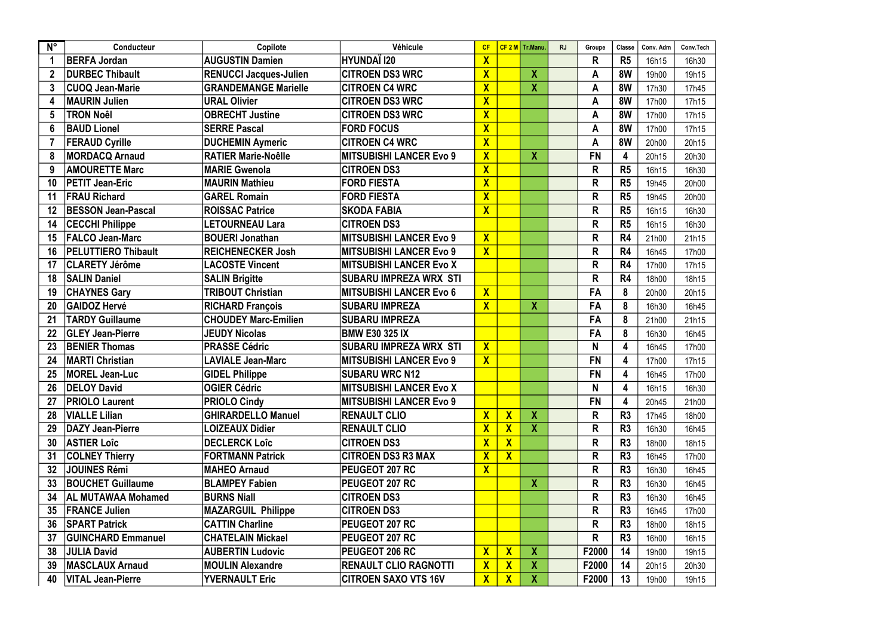| $N^{\circ}$     | Conducteur                 | Copilote                      | Véhicule                       | CF                      |                           | $CF 2 M$ Tr.Manu          | <b>RJ</b> | Groupe       | Classe         | Conv. Adm | Conv.Tech |
|-----------------|----------------------------|-------------------------------|--------------------------------|-------------------------|---------------------------|---------------------------|-----------|--------------|----------------|-----------|-----------|
| -1              | <b>BERFA Jordan</b>        | <b>AUGUSTIN Damien</b>        | <b>HYUNDAÏ 120</b>             | $\overline{\mathsf{X}}$ |                           |                           |           | R            | R <sub>5</sub> | 16h15     | 16h30     |
|                 | DURBEC Thibault            | <b>RENUCCI Jacques-Julien</b> | <b>CITROEN DS3 WRC</b>         | $\overline{\mathsf{X}}$ |                           | $\boldsymbol{X}$          |           | A            | 8W             | 19h00     | 19h15     |
| 3               | <b>CUOQ Jean-Marie</b>     | <b>GRANDEMANGE Marielle</b>   | <b>CITROEN C4 WRC</b>          | $\overline{\mathsf{X}}$ |                           | $\boldsymbol{X}$          |           | A            | 8W             | 17h30     | 17h45     |
| 4               | <b>MAURIN Julien</b>       | <b>URAL Olivier</b>           | <b>CITROEN DS3 WRC</b>         | $\overline{\mathsf{X}}$ |                           |                           |           | A            | 8W             | 17h00     | 17h15     |
| 5               | <b>TRON Noêl</b>           | <b>OBRECHT Justine</b>        | <b>CITROEN DS3 WRC</b>         | $\overline{\mathsf{X}}$ |                           |                           |           | A            | 8W             | 17h00     | 17h15     |
| 6               | <b>BAUD Lionel</b>         | <b>SERRE Pascal</b>           | <b>FORD FOCUS</b>              | $\overline{\mathsf{X}}$ |                           |                           |           | A            | 8W             | 17h00     | 17h15     |
| 7               | <b>FERAUD Cyrille</b>      | <b>DUCHEMIN Aymeric</b>       | <b>CITROEN C4 WRC</b>          | $\overline{\mathsf{X}}$ |                           |                           |           | A            | 8W             | 20h00     | 20h15     |
| 8               | <b>MORDACQ Arnaud</b>      | <b>RATIER Marie-Noêlle</b>    | <b>MITSUBISHI LANCER Evo 9</b> | $\overline{\mathsf{X}}$ |                           | $\boldsymbol{X}$          |           | <b>FN</b>    | 4              | 20h15     | 20h30     |
| 9               | <b>AMOURETTE Marc</b>      | <b>MARIE Gwenola</b>          | <b>CITROEN DS3</b>             | $\overline{\mathsf{X}}$ |                           |                           |           | R            | R <sub>5</sub> | 16h15     | 16h30     |
| 10              | <b>PETIT Jean-Eric</b>     | <b>MAURIN Mathieu</b>         | <b>FORD FIESTA</b>             | $\overline{\mathsf{X}}$ |                           |                           |           | R            | R <sub>5</sub> | 19h45     | 20h00     |
| 11              | <b>FRAU Richard</b>        | <b>GAREL Romain</b>           | <b>FORD FIESTA</b>             | $\overline{\mathsf{X}}$ |                           |                           |           | R            | R <sub>5</sub> | 19h45     | 20h00     |
| 12              | <b>BESSON Jean-Pascal</b>  | <b>ROISSAC Patrice</b>        | <b>SKODA FABIA</b>             | $\overline{\mathsf{X}}$ |                           |                           |           | R            | R <sub>5</sub> | 16h15     | 16h30     |
| 14              | <b>CECCHI Philippe</b>     | LETOURNEAU Lara               | <b>CITROEN DS3</b>             |                         |                           |                           |           | R            | R <sub>5</sub> | 16h15     | 16h30     |
| 15              | <b>FALCO Jean-Marc</b>     | <b>BOUERI Jonathan</b>        | <b>MITSUBISHI LANCER Evo 9</b> | $\overline{\mathsf{X}}$ |                           |                           |           | R            | R <sub>4</sub> | 21h00     | 21h15     |
| 16              | <b>PELUTTIERO Thibault</b> | <b>REICHENECKER Josh</b>      | <b>MITSUBISHI LANCER Evo 9</b> | $\overline{\mathsf{X}}$ |                           |                           |           | R            | R <sub>4</sub> | 16h45     | 17h00     |
| 17              | <b>CLARETY Jérôme</b>      | <b>LACOSTE Vincent</b>        | <b>MITSUBISHI LANCER Evo X</b> |                         |                           |                           |           | R            | R <sub>4</sub> | 17h00     | 17h15     |
| 18              | <b>SALIN Daniel</b>        | <b>SALIN Brigitte</b>         | <b>SUBARU IMPREZA WRX STI</b>  |                         |                           |                           |           | $\mathsf{R}$ | R <sub>4</sub> | 18h00     | 18h15     |
| 19              | <b>CHAYNES Gary</b>        | <b>TRIBOUT Christian</b>      | <b>MITSUBISHI LANCER Evo 6</b> | $\mathbf{X}$            |                           |                           |           | <b>FA</b>    | 8              | 20h00     | 20h15     |
| 20              | <b>GAIDOZ Hervé</b>        | <b>RICHARD François</b>       | <b>SUBARU IMPREZA</b>          | $\overline{\mathsf{X}}$ |                           | $\boldsymbol{X}$          |           | FA           | 8              | 16h30     | 16h45     |
| 21              | <b>TARDY Guillaume</b>     | <b>CHOUDEY Marc-Emilien</b>   | <b>SUBARU IMPREZA</b>          |                         |                           |                           |           | FA           | 8              | 21h00     | 21h15     |
| 22              | <b>GLEY Jean-Pierre</b>    | <b>JEUDY Nicolas</b>          | <b>BMW E30 325 IX</b>          |                         |                           |                           |           | FA           | 8              | 16h30     | 16h45     |
| 23              | <b>BENIER Thomas</b>       | <b>PRASSE Cédric</b>          | <b>SUBARU IMPREZA WRX STI</b>  | $\overline{\mathsf{X}}$ |                           |                           |           | N            | 4              | 16h45     | 17h00     |
| 24              | <b>MARTI Christian</b>     | <b>LAVIALE Jean-Marc</b>      | <b>MITSUBISHI LANCER Evo 9</b> | $\overline{\mathsf{X}}$ |                           |                           |           | <b>FN</b>    | 4              | 17h00     | 17h15     |
| 25              | <b>MOREL Jean-Luc</b>      | <b>GIDEL Philippe</b>         | <b>SUBARU WRC N12</b>          |                         |                           |                           |           | <b>FN</b>    | 4              | 16h45     | 17h00     |
| 26              | <b>IDELOY David</b>        | <b>OGIER Cédric</b>           | <b>MITSUBISHI LANCER Evo X</b> |                         |                           |                           |           | N.           | 4              | 16h15     | 16h30     |
| 27              | <b>PRIOLO Laurent</b>      | <b>PRIOLO Cindy</b>           | <b>MITSUBISHI LANCER Evo 9</b> |                         |                           |                           |           | <b>FN</b>    | 4              | 20h45     | 21h00     |
| 28              | <b>VIALLE Lilian</b>       | <b>GHIRARDELLO Manuel</b>     | <b>RENAULT CLIO</b>            | $\overline{\mathsf{X}}$ | $\overline{\mathbf{X}}$   | $\boldsymbol{X}$          |           | R            | R <sub>3</sub> | 17h45     | 18h00     |
| 29              | DAZY Jean-Pierre           | <b>LOIZEAUX Didier</b>        | <b>RENAULT CLIO</b>            | $\overline{\mathsf{X}}$ | $\overline{\mathsf{X}}$   | $\boldsymbol{X}$          |           | R            | R <sub>3</sub> | 16h30     | 16h45     |
| 30              | <b>ASTIER Loic</b>         | <b>DECLERCK Loîc</b>          | <b>CITROEN DS3</b>             | $\overline{\mathsf{X}}$ | $\overline{\mathsf{X}}$   |                           |           | R            | R3             | 18h00     | 18h15     |
| 31              | <b>COLNEY Thierry</b>      | <b>FORTMANN Patrick</b>       | <b>CITROEN DS3 R3 MAX</b>      | $\overline{\mathsf{X}}$ | $\overline{\mathsf{X}}$   |                           |           | R            | R <sub>3</sub> | 16h45     | 17h00     |
| 32 <sub>2</sub> | <b>JOUINES Rémi</b>        | <b>MAHEO Arnaud</b>           | PEUGEOT 207 RC                 | $\mathbf{X}$            |                           |                           |           | R            | R <sub>3</sub> | 16h30     | 16h45     |
| 33 <sub>°</sub> | <b>BOUCHET Guillaume</b>   | <b>BLAMPEY Fabien</b>         | <b>PEUGEOT 207 RC</b>          |                         |                           | $\boldsymbol{X}$          |           | $\mathsf{R}$ | R <sub>3</sub> | 16h30     | 16h45     |
| 34              | <b>AL MUTAWAA Mohamed</b>  | <b>BURNS Niall</b>            | <b>CITROEN DS3</b>             |                         |                           |                           |           | R            | R <sub>3</sub> | 16h30     | 16h45     |
| 35              | <b>FRANCE Julien</b>       | <b>MAZARGUIL Philippe</b>     | <b>CITROEN DS3</b>             |                         |                           |                           |           | R            | R3             | 16h45     | 17h00     |
| 36              | <b>SPART Patrick</b>       | <b>CATTIN Charline</b>        | <b>PEUGEOT 207 RC</b>          |                         |                           |                           |           | R            | R3             | 18h00     | 18h15     |
| 37              | <b>GUINCHARD Emmanuel</b>  | <b>CHATELAIN Mickael</b>      | <b>PEUGEOT 207 RC</b>          |                         |                           |                           |           | R            | R3             | 16h00     | 16h15     |
| 38              | <b>JULIA David</b>         | <b>AUBERTIN Ludovic</b>       | <b>PEUGEOT 206 RC</b>          | $\mathbf{X}$            | $\boldsymbol{\mathsf{X}}$ | $\boldsymbol{X}$          |           | F2000        | 14             | 19h00     | 19h15     |
| 39              | <b>MASCLAUX Arnaud</b>     | <b>MOULIN Alexandre</b>       | <b>RENAULT CLIO RAGNOTTI</b>   | $\mathbf{X}$            | $\overline{\mathsf{X}}$   | $\boldsymbol{\mathsf{X}}$ |           | F2000        | 14             | 20h15     | 20h30     |
| 40              | <b>VITAL Jean-Pierre</b>   | <b>YVERNAULT Eric</b>         | <b>CITROEN SAXO VTS 16V</b>    | $\mathbf{X}$            | $\mathbf{X}$              | $\mathsf{X}$              |           | F2000        | 13             | 19h00     | 19h15     |

| Conv.Tech |
|-----------|
| 16h30     |
| 19h15     |
| 17h45     |
| 17h15     |
| 17h15     |
| 17h15     |
| 20h15     |
| 20h30     |
| 16h30     |
| 20h00     |
| 20h00     |
| 16h30     |
| 16h30     |
| 21h15     |
| 17h00     |
| 17h15     |
| 18h15     |
| 20h15     |
| 16h45     |
| 21h15     |
| 16h45     |
| 17h00     |
| 17h15     |
| 17h00     |
| 16h30     |
| 21h00     |
| 18h00     |
| 16h45     |
| 18h15     |
| 17h00     |
| 16h45     |
| 16h45     |
| 16h45     |
| 17h00     |
| 18h15     |
| 16h15     |
| 19h15     |
| 20h30     |
| 19h15     |
|           |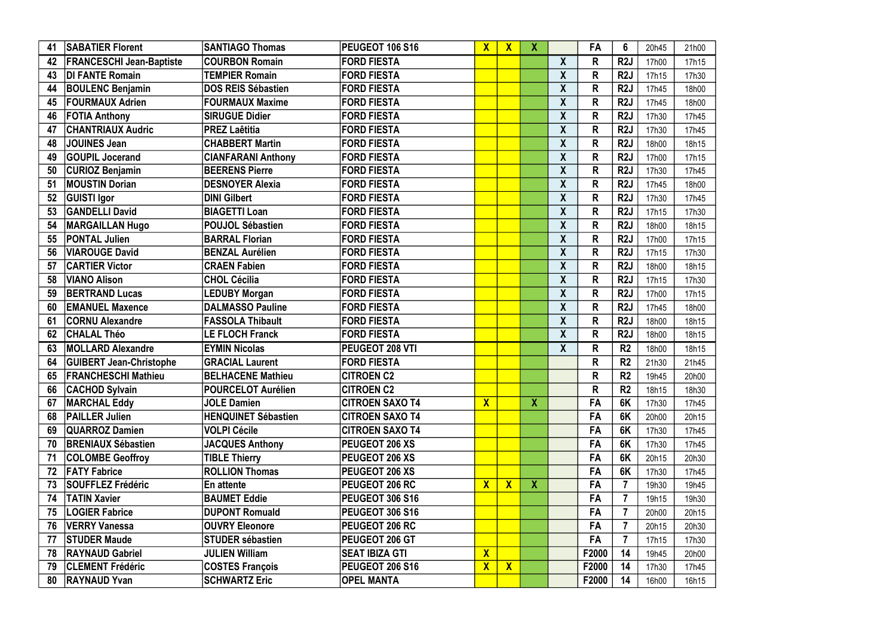| 41 | <b>SABATIER Florent</b>         | <b>SANTIAGO Thomas</b>     | <b>PEUGEOT 106 S16</b> | $\mathbf{X}$            | $\mathbf{X}$ | X            |                  | FA           | 6                | 20h45 | 21h00 |
|----|---------------------------------|----------------------------|------------------------|-------------------------|--------------|--------------|------------------|--------------|------------------|-------|-------|
| 42 | <b>FRANCESCHI Jean-Baptiste</b> | <b>COURBON Romain</b>      | <b>FORD FIESTA</b>     |                         |              |              | X                | R            | R <sub>2</sub> J | 17h00 | 17h15 |
| 43 | DI FANTE Romain                 | <b>TEMPIER Romain</b>      | <b>FORD FIESTA</b>     |                         |              |              | $\boldsymbol{X}$ | R            | R <sub>2</sub> J | 17h15 | 17h30 |
| 44 | <b>BOULENC Benjamin</b>         | <b>DOS REIS Sébastien</b>  | <b>FORD FIESTA</b>     |                         |              |              | $\boldsymbol{X}$ | $\mathsf{R}$ | R <sub>2</sub> J | 17h45 | 18h00 |
| 45 | <b>FOURMAUX Adrien</b>          | <b>FOURMAUX Maxime</b>     | <b>FORD FIESTA</b>     |                         |              |              | $\boldsymbol{X}$ | R            | R <sub>2</sub> J | 17h45 | 18h00 |
| 46 | <b>FOTIA Anthony</b>            | <b>SIRUGUE Didier</b>      | <b>FORD FIESTA</b>     |                         |              |              | $\boldsymbol{X}$ | R            | R <sub>2</sub> J | 17h30 | 17h45 |
| 47 | <b>CHANTRIAUX Audric</b>        | <b>PREZ Laêtitia</b>       | <b>FORD FIESTA</b>     |                         |              |              | $\boldsymbol{X}$ | R            | R <sub>2</sub> J | 17h30 | 17h45 |
| 48 | <b>JOUINES Jean</b>             | <b>CHABBERT Martin</b>     | <b>FORD FIESTA</b>     |                         |              |              | $\boldsymbol{X}$ | R            | R <sub>2</sub> J | 18h00 | 18h15 |
| 49 | <b>GOUPIL Jocerand</b>          | <b>CIANFARANI Anthony</b>  | <b>FORD FIESTA</b>     |                         |              |              | $\boldsymbol{X}$ | R            | R <sub>2</sub> J | 17h00 | 17h15 |
| 50 | <b>CURIOZ Benjamin</b>          | <b>BEERENS Pierre</b>      | <b>FORD FIESTA</b>     |                         |              |              | $\boldsymbol{X}$ | $\mathsf{R}$ | R <sub>2</sub> J | 17h30 | 17h45 |
| 51 | <b>MOUSTIN Dorian</b>           | <b>DESNOYER Alexia</b>     | <b>FORD FIESTA</b>     |                         |              |              | $\boldsymbol{X}$ | R            | R <sub>2</sub> J | 17h45 | 18h00 |
| 52 | <b>GUISTI Igor</b>              | <b>DINI Gilbert</b>        | <b>FORD FIESTA</b>     |                         |              |              | $\boldsymbol{X}$ | $\mathsf{R}$ | R <sub>2</sub> J | 17h30 | 17h45 |
| 53 | <b>GANDELLI David</b>           | <b>BIAGETTI Loan</b>       | <b>FORD FIESTA</b>     |                         |              |              | $\boldsymbol{X}$ | R            | R <sub>2</sub> J | 17h15 | 17h30 |
| 54 | <b>MARGAILLAN Hugo</b>          | <b>POUJOL Sébastien</b>    | <b>FORD FIESTA</b>     |                         |              |              | $\boldsymbol{X}$ | $\mathsf{R}$ | R <sub>2</sub> J | 18h00 | 18h15 |
| 55 | <b>PONTAL Julien</b>            | <b>BARRAL Florian</b>      | <b>FORD FIESTA</b>     |                         |              |              | $\boldsymbol{X}$ | R            | R <sub>2</sub> J | 17h00 | 17h15 |
| 56 | <b>VIAROUGE David</b>           | <b>BENZAL Aurélien</b>     | <b>FORD FIESTA</b>     |                         |              |              | $\boldsymbol{X}$ | $\mathsf{R}$ | R <sub>2</sub> J | 17h15 | 17h30 |
| 57 | <b>CARTIER Victor</b>           | <b>CRAEN Fabien</b>        | <b>FORD FIESTA</b>     |                         |              |              | $\boldsymbol{X}$ | $\mathsf{R}$ | R <sub>2</sub> J | 18h00 | 18h15 |
| 58 | VIANO Alison                    | <b>CHOL Cécilia</b>        | <b>FORD FIESTA</b>     |                         |              |              | $\boldsymbol{X}$ | $\mathsf{R}$ | R <sub>2</sub> J | 17h15 | 17h30 |
| 59 | <b>BERTRAND Lucas</b>           | <b>LEDUBY Morgan</b>       | <b>FORD FIESTA</b>     |                         |              |              | $\boldsymbol{X}$ | $\mathsf{R}$ | R <sub>2</sub> J | 17h00 | 17h15 |
| 60 | <b>EMANUEL Maxence</b>          | <b>DALMASSO Pauline</b>    | <b>FORD FIESTA</b>     |                         |              |              | $\boldsymbol{X}$ | $\mathsf{R}$ | R <sub>2</sub> J | 17h45 | 18h00 |
| 61 | <b>CORNU Alexandre</b>          | <b>FASSOLA Thibault</b>    | <b>FORD FIESTA</b>     |                         |              |              | $\boldsymbol{X}$ | $\mathsf{R}$ | R <sub>2</sub> J | 18h00 | 18h15 |
| 62 | <b>CHALAL Théo</b>              | <b>LE FLOCH Franck</b>     | <b>FORD FIESTA</b>     |                         |              |              | $\boldsymbol{X}$ | $\mathsf{R}$ | R <sub>2</sub> J | 18h00 | 18h15 |
| 63 | <b>MOLLARD Alexandre</b>        | <b>EYMIN Nicolas</b>       | <b>PEUGEOT 208 VTI</b> |                         |              |              | X                | R            | R <sub>2</sub>   | 18h00 | 18h15 |
| 64 | <b>GUIBERT Jean-Christophe</b>  | <b>GRACIAL Laurent</b>     | <b>FORD FIESTA</b>     |                         |              |              |                  | R            | R <sub>2</sub>   | 21h30 | 21h45 |
| 65 | <b>FRANCHESCHI Mathieu</b>      | <b>BELHACENE Mathieu</b>   | <b>CITROEN C2</b>      |                         |              |              |                  | R            | R <sub>2</sub>   | 19h45 | 20h00 |
| 66 | <b>CACHOD Sylvain</b>           | <b>POURCELOT Aurélien</b>  | <b>CITROEN C2</b>      |                         |              |              |                  | R            | R <sub>2</sub>   | 18h15 | 18h30 |
| 67 | <b>MARCHAL Eddy</b>             | <b>JOLE Damien</b>         | <b>CITROEN SAXO T4</b> | $\mathbf{X}$            |              | $\mathbf{X}$ |                  | FA           | 6K               | 17h30 | 17h45 |
| 68 | <b>PAILLER Julien</b>           | <b>HENQUINET Sébastien</b> | <b>CITROEN SAXO T4</b> |                         |              |              |                  | <b>FA</b>    | 6K               | 20h00 | 20h15 |
| 69 | <b>QUARROZ Damien</b>           | <b>VOLPI Cécile</b>        | <b>CITROEN SAXO T4</b> |                         |              |              |                  | FA           | 6K               | 17h30 | 17h45 |
| 70 | <b>BRENIAUX Sébastien</b>       | <b>JACQUES Anthony</b>     | <b>PEUGEOT 206 XS</b>  |                         |              |              |                  | FA           | 6K               | 17h30 | 17h45 |
| 71 | <b>COLOMBE Geoffroy</b>         | <b>TIBLE Thierry</b>       | <b>PEUGEOT 206 XS</b>  |                         |              |              |                  | FA           | 6K               | 20h15 | 20h30 |
| 72 | <b>FATY Fabrice</b>             | <b>ROLLION Thomas</b>      | <b>PEUGEOT 206 XS</b>  |                         |              |              |                  | FA           | 6K               | 17h30 | 17h45 |
| 73 | <b>SOUFFLEZ Frédéric</b>        | En attente                 | <b>PEUGEOT 206 RC</b>  | $\mathbf{X}$            | $\mathbf{X}$ | $\mathbf{X}$ |                  | FA           |                  | 19h30 | 19h45 |
| 74 | <b>TATIN Xavier</b>             | <b>BAUMET Eddie</b>        | <b>PEUGEOT 306 S16</b> |                         |              |              |                  | <b>FA</b>    | $\overline{7}$   | 19h15 | 19h30 |
| 75 | <b>LOGIER Fabrice</b>           | <b>DUPONT Romuald</b>      | <b>PEUGEOT 306 S16</b> |                         |              |              |                  | <b>FA</b>    |                  | 20h00 | 20h15 |
| 76 | <b>VERRY Vanessa</b>            | <b>OUVRY Eleonore</b>      | <b>PEUGEOT 206 RC</b>  |                         |              |              |                  | <b>FA</b>    | $\overline{7}$   | 20h15 | 20h30 |
| 77 | <b>STUDER Maude</b>             | <b>STUDER sébastien</b>    | <b>PEUGEOT 206 GT</b>  |                         |              |              |                  | FA           |                  | 17h15 | 17h30 |
| 78 | <b>RAYNAUD Gabriel</b>          | <b>JULIEN William</b>      | <b>SEAT IBIZA GTI</b>  | $\overline{\mathsf{X}}$ |              |              |                  | F2000        | 14               | 19h45 | 20h00 |
| 79 | <b>CLEMENT Frédéric</b>         | <b>COSTES François</b>     | <b>PEUGEOT 206 S16</b> | $\mathbf{X}$            | $\mathbf{X}$ |              |                  | F2000        | 14               | 17h30 | 17h45 |
| 80 | <b>RAYNAUD Yvan</b>             | <b>SCHWARTZ Eric</b>       | <b>OPEL MANTA</b>      |                         |              |              |                  | F2000        | 14               | 16h00 | 16h15 |

| 21h00 |
|-------|
| 17h15 |
| 17h30 |
| 18h00 |
| 18h00 |
| 17h45 |
| 17h45 |
| 18h15 |
| 17h15 |
| 17h45 |
| 18h00 |
| 17h45 |
| 17h30 |
| 18h15 |
| 17h15 |
| 17h30 |
| 18h15 |
| 17h30 |
| 17h15 |
| 18h00 |
| 18h15 |
| 18h15 |
| 18h15 |
| 21h45 |
| 20h00 |
| 18h30 |
| 17h45 |
| 20h15 |
| 17h45 |
| 17h45 |
| 20h30 |
| 17h45 |
| 19h45 |
| 19h30 |
| 20h15 |
| 20h30 |
| 17h30 |
| 20h00 |
| 17h45 |
| 16h15 |
|       |